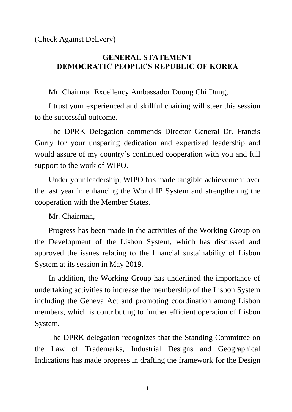(Check Against Delivery)

## **GENERAL STATEMENT DEMOCRATIC PEOPLE'S REPUBLIC OF KOREA**

Mr. Chairman Excellency Ambassador Duong Chi Dung,

I trust your experienced and skillful chairing will steer this session to the successful outcome.

The DPRK Delegation commends Director General Dr. Francis Gurry for your unsparing dedication and expertized leadership and would assure of my country's continued cooperation with you and full support to the work of WIPO.

Under your leadership, WIPO has made tangible achievement over the last year in enhancing the World IP System and strengthening the cooperation with the Member States.

Mr. Chairman,

Progress has been made in the activities of the Working Group on the Development of the Lisbon System, which has discussed and approved the issues relating to the financial sustainability of Lisbon System at its session in May 2019.

In addition, the Working Group has underlined the importance of undertaking activities to increase the membership of the Lisbon System including the Geneva Act and promoting coordination among Lisbon members, which is contributing to further efficient operation of Lisbon System.

The DPRK delegation recognizes that the Standing Committee on the Law of Trademarks, Industrial Designs and Geographical Indications has made progress in drafting the framework for the Design